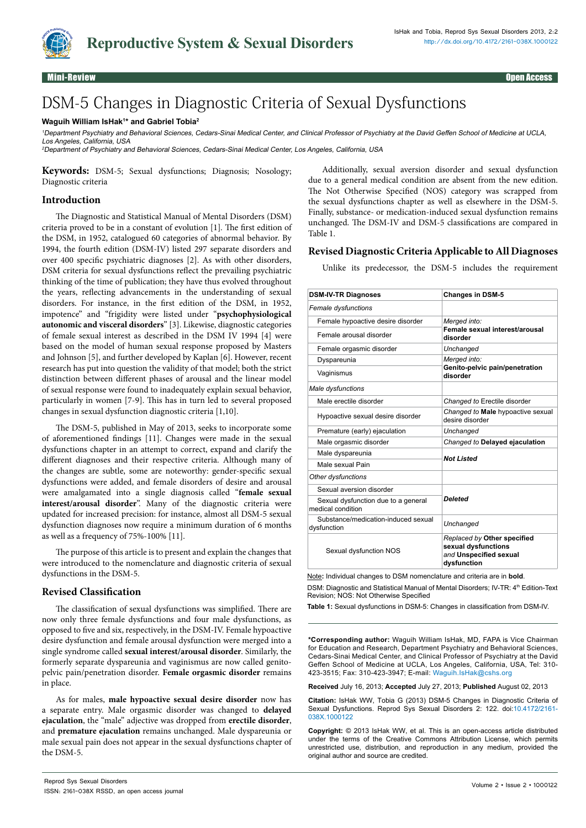

Mini-Review Open Access

# DSM-5 Changes in Diagnostic Criteria of Sexual Dysfunctions

#### **Waguih William IsHak1 \* and Gabriel Tobia2**

<sup>1</sup>Department Psychiatry and Behavioral Sciences, Cedars-Sinai Medical Center, and Clinical Professor of Psychiatry at the David Geffen School of Medicine at UCLA, Los Angeles, California, USA

<sup>2</sup>Department of Psychiatry and Behavioral Sciences, Cedars-Sinai Medical Center, Los Angeles, California, USA

**Keywords:** DSM-5; Sexual dysfunctions; Diagnosis; Nosology; Diagnostic criteria

# **Introduction**

The Diagnostic and Statistical Manual of Mental Disorders (DSM) criteria proved to be in a constant of evolution [1]*.* The first edition of the DSM, in 1952, catalogued 60 categories of abnormal behavior. By 1994, the fourth edition (DSM-IV) listed 297 separate disorders and over 400 specific psychiatric diagnoses [2]. As with other disorders, DSM criteria for sexual dysfunctions reflect the prevailing psychiatric thinking of the time of publication; they have thus evolved throughout the years, reflecting advancements in the understanding of sexual disorders. For instance, in the first edition of the DSM, in 1952, impotence" and "frigidity were listed under "**psychophysiological autonomic and visceral disorders**" [3]. Likewise, diagnostic categories of female sexual interest as described in the DSM IV 1994 [4] were based on the model of human sexual response proposed by Masters and Johnson [5], and further developed by Kaplan [6]. However, recent research has put into question the validity of that model; both the strict distinction between different phases of arousal and the linear model of sexual response were found to inadequately explain sexual behavior, particularly in women [7-9]. This has in turn led to several proposed changes in sexual dysfunction diagnostic criteria [1,10].

The DSM-5, published in May of 2013, seeks to incorporate some of aforementioned findings [11]. Changes were made in the sexual dysfunctions chapter in an attempt to correct, expand and clarify the different diagnoses and their respective criteria. Although many of the changes are subtle, some are noteworthy: gender-specific sexual dysfunctions were added, and female disorders of desire and arousal were amalgamated into a single diagnosis called "**female sexual interest/arousal disorder**". Many of the diagnostic criteria were updated for increased precision: for instance, almost all DSM-5 sexual dysfunction diagnoses now require a minimum duration of 6 months as well as a frequency of 75%-100% [11].

The purpose of this article is to present and explain the changes that were introduced to the nomenclature and diagnostic criteria of sexual dysfunctions in the DSM-5.

#### **Revised Classification**

The classification of sexual dysfunctions was simplified. There are now only three female dysfunctions and four male dysfunctions, as opposed to five and six, respectively, in the DSM-IV. Female hypoactive desire dysfunction and female arousal dysfunction were merged into a single syndrome called **sexual interest/arousal disorder**. Similarly, the formerly separate dyspareunia and vaginismus are now called genitopelvic pain/penetration disorder. **Female orgasmic disorder** remains in place.

As for males, **male hypoactive sexual desire disorder** now has a separate entry. Male orgasmic disorder was changed to **delayed ejaculation**, the "male" adjective was dropped from **erectile disorder**, and **premature ejaculation** remains unchanged. Male dyspareunia or male sexual pain does not appear in the sexual dysfunctions chapter of the DSM-5.

Additionally, sexual aversion disorder and sexual dysfunction due to a general medical condition are absent from the new edition. The Not Otherwise Specified (NOS) category was scrapped from the sexual dysfunctions chapter as well as elsewhere in the DSM-5. Finally, substance- or medication-induced sexual dysfunction remains unchanged. The DSM-IV and DSM-5 classifications are compared in Table 1.

# **Revised Diagnostic Criteria Applicable to All Diagnoses**

Unlike its predecessor, the DSM-5 includes the requirement

| <b>DSM-IV-TR Diagnoses</b>                               | <b>Changes in DSM-5</b>                                                                     |
|----------------------------------------------------------|---------------------------------------------------------------------------------------------|
| Female dysfunctions                                      |                                                                                             |
| Female hypoactive desire disorder                        | Merged into:<br>Female sexual interest/arousal<br>disorder                                  |
| Female arousal disorder                                  |                                                                                             |
| Female orgasmic disorder                                 | Unchanged                                                                                   |
| Dyspareunia                                              | Merged into:                                                                                |
| Vaginismus                                               | Genito-pelvic pain/penetration<br>disorder                                                  |
| Male dysfunctions                                        |                                                                                             |
| Male erectile disorder                                   | Changed to Erectile disorder                                                                |
| Hypoactive sexual desire disorder                        | Changed to Male hypoactive sexual<br>desire disorder                                        |
| Premature (early) ejaculation                            | Unchanged                                                                                   |
| Male orgasmic disorder                                   | Changed to Delayed ejaculation                                                              |
| Male dyspareunia                                         | Not Listed                                                                                  |
| Male sexual Pain                                         |                                                                                             |
| Other dysfunctions                                       |                                                                                             |
| Sexual aversion disorder                                 | Deleted                                                                                     |
| Sexual dysfunction due to a general<br>medical condition |                                                                                             |
| Substance/medication-induced sexual<br>dysfunction       | Unchanged                                                                                   |
| Sexual dysfunction NOS                                   | Replaced by Other specified<br>sexual dysfunctions<br>and Unspecified sexual<br>dysfunction |

Note**:** Individual changes to DSM nomenclature and criteria are in **bold**. DSM: Diagnostic and Statistical Manual of Mental Disorders; IV-TR: 4<sup>th</sup> Edition-Text Revision; NOS: Not Otherwise Specified

**Table 1:** Sexual dysfunctions in DSM-5: Changes in classification from DSM-IV.

**\*Corresponding author:** Waguih William IsHak, MD, FAPA is Vice Chairman for Education and Research, Department Psychiatry and Behavioral Sciences, Cedars-Sinai Medical Center, and Clinical Professor of Psychiatry at the David Geffen School of Medicine at UCLA, Los Angeles, California, USA, Tel: 310- 423-3515; Fax: 310-423-3947; E-mail: Waguih.IsHak@cshs.org

**Received** July 16, 2013; **Accepted** July 27, 2013; **Published** August 02, 2013

**Citation:** IsHak WW, Tobia G (2013) DSM-5 Changes in Diagnostic Criteria of Sexual Dysfunctions. Reprod Sys Sexual Disorders 2: 122. doi:[10.4172/2161-](http://dx.doi.org/10.4172/2161-038X.1000122) [038X.1000122](http://dx.doi.org/10.4172/2161-038X.1000122)

**Copyright:** © 2013 IsHak WW, et al. This is an open-access article distributed under the terms of the Creative Commons Attribution License, which permits unrestricted use, distribution, and reproduction in any medium, provided the original author and source are credited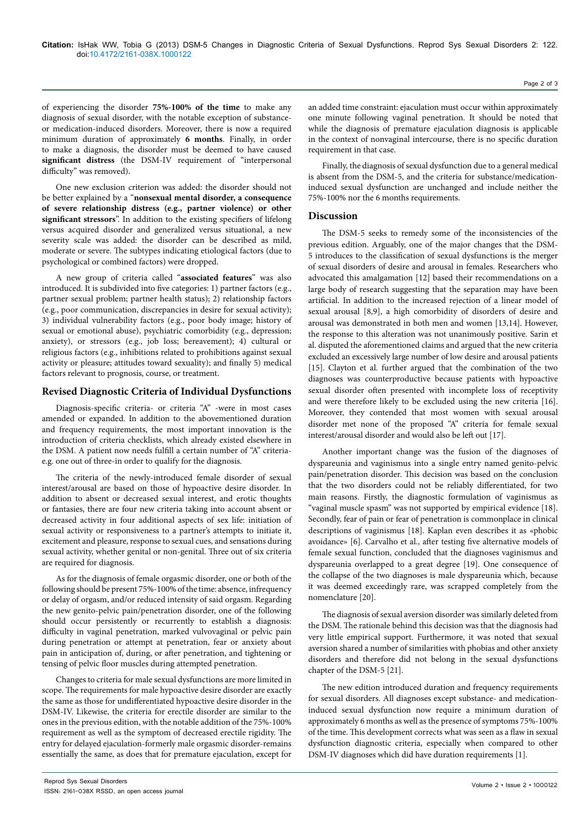of experiencing the disorder **75%-100% of the time** to make any diagnosis of sexual disorder, with the notable exception of substanceor medication-induced disorders. Moreover, there is now a required minimum duration of approximately **6 months**. Finally, in order to make a diagnosis, the disorder must be deemed to have caused **significant distress** (the DSM-IV requirement of "interpersonal difficulty" was removed).

One new exclusion criterion was added: the disorder should not be better explained by a "**nonsexual mental disorder, a consequence of severe relationship distress (e.g., partner violence) or other significant stressors**". In addition to the existing specifiers of lifelong versus acquired disorder and generalized versus situational, a new severity scale was added: the disorder can be described as mild, moderate or severe. The subtypes indicating etiological factors (due to psychological or combined factors) were dropped.

A new group of criteria called "**associated features**" was also introduced. It is subdivided into five categories: 1) partner factors (e.g., partner sexual problem; partner health status); 2) relationship factors (e.g., poor communication, discrepancies in desire for sexual activity); 3) individual vulnerability factors (e.g., poor body image; history of sexual or emotional abuse), psychiatric comorbidity (e.g., depression; anxiety), or stressors (e.g., job loss; bereavement); 4) cultural or religious factors (e.g., inhibitions related to prohibitions against sexual activity or pleasure; attitudes toward sexuality); and finally 5) medical factors relevant to prognosis, course, or treatment.

# **Revised Diagnostic Criteria of Individual Dysfunctions**

Diagnosis-specific criteria- or criteria "A" -were in most cases amended or expanded. In addition to the abovementioned duration and frequency requirements, the most important innovation is the introduction of criteria checklists, which already existed elsewhere in the DSM. A patient now needs fulfill a certain number of "A" criteriae.g. one out of three-in order to qualify for the diagnosis.

The criteria of the newly-introduced female disorder of sexual interest/arousal are based on those of hypoactive desire disorder. In addition to absent or decreased sexual interest, and erotic thoughts or fantasies, there are four new criteria taking into account absent or decreased activity in four additional aspects of sex life: initiation of sexual activity or responsiveness to a partner's attempts to initiate it, excitement and pleasure, response to sexual cues, and sensations during sexual activity, whether genital or non-genital. Three out of six criteria are required for diagnosis.

As for the diagnosis of female orgasmic disorder, one or both of the following should be present 75%-100% of the time: absence, infrequency or delay of orgasm, and/or reduced intensity of said orgasm. Regarding the new genito-pelvic pain/penetration disorder, one of the following should occur persistently or recurrently to establish a diagnosis: difficulty in vaginal penetration, marked vulvovaginal or pelvic pain during penetration or attempt at penetration, fear or anxiety about pain in anticipation of, during, or after penetration, and tightening or tensing of pelvic floor muscles during attempted penetration.

Changes to criteria for male sexual dysfunctions are more limited in scope. The requirements for male hypoactive desire disorder are exactly the same as those for undifferentiated hypoactive desire disorder in the DSM-IV. Likewise, the criteria for erectile disorder are similar to the ones in the previous edition, with the notable addition of the 75%-100% requirement as well as the symptom of decreased erectile rigidity. The entry for delayed ejaculation-formerly male orgasmic disorder-remains essentially the same, as does that for premature ejaculation, except for

an added time constraint: ejaculation must occur within approximately one minute following vaginal penetration. It should be noted that while the diagnosis of premature ejaculation diagnosis is applicable in the context of nonvaginal intercourse, there is no specific duration requirement in that case.

Finally, the diagnosis of sexual dysfunction due to a general medical is absent from the DSM-5, and the criteria for substance/medicationinduced sexual dysfunction are unchanged and include neither the 75%-100% nor the 6 months requirements.

### **Discussion**

The DSM-5 seeks to remedy some of the inconsistencies of the previous edition. Arguably, one of the major changes that the DSM-5 introduces to the classification of sexual dysfunctions is the merger of sexual disorders of desire and arousal in females. Researchers who advocated this amalgamation [12] based their recommendations on a large body of research suggesting that the separation may have been artificial. In addition to the increased rejection of a linear model of sexual arousal [8,9], a high comorbidity of disorders of desire and arousal was demonstrated in both men and women [13,14]. However, the response to this alteration was not unanimously positive. Sarin et al. disputed the aforementioned claims and argued that the new criteria excluded an excessively large number of low desire and arousal patients [15]. Clayton et al. further argued that the combination of the two diagnoses was counterproductive because patients with hypoactive sexual disorder often presented with incomplete loss of receptivity and were therefore likely to be excluded using the new criteria [16]. Moreover, they contended that most women with sexual arousal disorder met none of the proposed "A" criteria for female sexual interest/arousal disorder and would also be left out [17].

Another important change was the fusion of the diagnoses of dyspareunia and vaginismus into a single entry named genito-pelvic pain/penetration disorder. This decision was based on the conclusion that the two disorders could not be reliably differentiated, for two main reasons. Firstly, the diagnostic formulation of vaginismus as "vaginal muscle spasm" was not supported by empirical evidence [18]. Secondly, fear of pain or fear of penetration is commonplace in clinical descriptions of vaginismus [18]. Kaplan even describes it as «phobic avoidance» [6]. Carvalho et al., after testing five alternative models of female sexual function, concluded that the diagnoses vaginismus and dyspareunia overlapped to a great degree [19]. One consequence of the collapse of the two diagnoses is male dyspareunia which, because it was deemed exceedingly rare, was scrapped completely from the nomenclature [20].

The diagnosis of sexual aversion disorder was similarly deleted from the DSM. The rationale behind this decision was that the diagnosis had very little empirical support. Furthermore, it was noted that sexual aversion shared a number of similarities with phobias and other anxiety disorders and therefore did not belong in the sexual dysfunctions chapter of the DSM-5 [21].

The new edition introduced duration and frequency requirements for sexual disorders. All diagnoses except substance- and medicationinduced sexual dysfunction now require a minimum duration of approximately 6 months as well as the presence of symptoms 75%-100% of the time. This development corrects what was seen as a flaw in sexual dysfunction diagnostic criteria, especially when compared to other DSM-IV diagnoses which did have duration requirements [1].